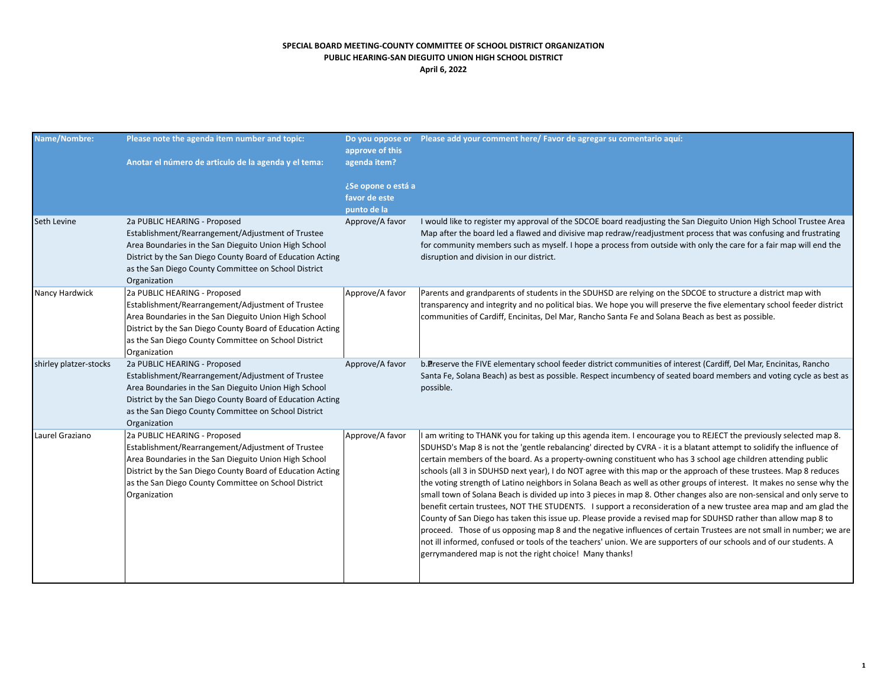| Name/Nombre:           | Please note the agenda item number and topic:                                                                                                                                                                                                                                    |                                                    | Do you oppose or Please add your comment here/ Favor de agregar su comentario aquí:                                                                                                                                                                                                                                                                                                                                                                                                                                                                                                                                                                                                                                                                                                                                                                                                                                                                                                                                                                                                                                                                                                                                                                                                      |
|------------------------|----------------------------------------------------------------------------------------------------------------------------------------------------------------------------------------------------------------------------------------------------------------------------------|----------------------------------------------------|------------------------------------------------------------------------------------------------------------------------------------------------------------------------------------------------------------------------------------------------------------------------------------------------------------------------------------------------------------------------------------------------------------------------------------------------------------------------------------------------------------------------------------------------------------------------------------------------------------------------------------------------------------------------------------------------------------------------------------------------------------------------------------------------------------------------------------------------------------------------------------------------------------------------------------------------------------------------------------------------------------------------------------------------------------------------------------------------------------------------------------------------------------------------------------------------------------------------------------------------------------------------------------------|
|                        | Anotar el número de articulo de la agenda y el tema:                                                                                                                                                                                                                             | approve of this<br>agenda item?                    |                                                                                                                                                                                                                                                                                                                                                                                                                                                                                                                                                                                                                                                                                                                                                                                                                                                                                                                                                                                                                                                                                                                                                                                                                                                                                          |
|                        |                                                                                                                                                                                                                                                                                  | ¿Se opone o está a<br>favor de este<br>punto de la |                                                                                                                                                                                                                                                                                                                                                                                                                                                                                                                                                                                                                                                                                                                                                                                                                                                                                                                                                                                                                                                                                                                                                                                                                                                                                          |
| Seth Levine            | 2a PUBLIC HEARING - Proposed<br>Establishment/Rearrangement/Adjustment of Trustee<br>Area Boundaries in the San Dieguito Union High School<br>District by the San Diego County Board of Education Acting<br>as the San Diego County Committee on School District<br>Organization | Approve/A favor                                    | I would like to register my approval of the SDCOE board readjusting the San Dieguito Union High School Trustee Area<br>Map after the board led a flawed and divisive map redraw/readjustment process that was confusing and frustrating<br>for community members such as myself. I hope a process from outside with only the care for a fair map will end the<br>disruption and division in our district.                                                                                                                                                                                                                                                                                                                                                                                                                                                                                                                                                                                                                                                                                                                                                                                                                                                                                |
| Nancy Hardwick         | 2a PUBLIC HEARING - Proposed<br>Establishment/Rearrangement/Adjustment of Trustee<br>Area Boundaries in the San Dieguito Union High School<br>District by the San Diego County Board of Education Acting<br>as the San Diego County Committee on School District<br>Organization | Approve/A favor                                    | Parents and grandparents of students in the SDUHSD are relying on the SDCOE to structure a district map with<br>transparency and integrity and no political bias. We hope you will preserve the five elementary school feeder district<br>communities of Cardiff, Encinitas, Del Mar, Rancho Santa Fe and Solana Beach as best as possible.                                                                                                                                                                                                                                                                                                                                                                                                                                                                                                                                                                                                                                                                                                                                                                                                                                                                                                                                              |
| shirley platzer-stocks | 2a PUBLIC HEARING - Proposed<br>Establishment/Rearrangement/Adjustment of Trustee<br>Area Boundaries in the San Dieguito Union High School<br>District by the San Diego County Board of Education Acting<br>as the San Diego County Committee on School District<br>Organization | Approve/A favor                                    | b. Preserve the FIVE elementary school feeder district communities of interest (Cardiff, Del Mar, Encinitas, Rancho<br>Santa Fe, Solana Beach) as best as possible. Respect incumbency of seated board members and voting cycle as best as<br>possible.                                                                                                                                                                                                                                                                                                                                                                                                                                                                                                                                                                                                                                                                                                                                                                                                                                                                                                                                                                                                                                  |
| Laurel Graziano        | 2a PUBLIC HEARING - Proposed<br>Establishment/Rearrangement/Adjustment of Trustee<br>Area Boundaries in the San Dieguito Union High School<br>District by the San Diego County Board of Education Acting<br>as the San Diego County Committee on School District<br>Organization | Approve/A favor                                    | I am writing to THANK you for taking up this agenda item. I encourage you to REJECT the previously selected map 8.<br>SDUHSD's Map 8 is not the 'gentle rebalancing' directed by CVRA - it is a blatant attempt to solidify the influence of<br>certain members of the board. As a property-owning constituent who has 3 school age children attending public<br>schools (all 3 in SDUHSD next year), I do NOT agree with this map or the approach of these trustees. Map 8 reduces<br>the voting strength of Latino neighbors in Solana Beach as well as other groups of interest. It makes no sense why the<br>small town of Solana Beach is divided up into 3 pieces in map 8. Other changes also are non-sensical and only serve to<br>benefit certain trustees, NOT THE STUDENTS. I support a reconsideration of a new trustee area map and am glad the<br>County of San Diego has taken this issue up. Please provide a revised map for SDUHSD rather than allow map 8 to<br>proceed. Those of us opposing map 8 and the negative influences of certain Trustees are not small in number; we are<br>not ill informed, confused or tools of the teachers' union. We are supporters of our schools and of our students. A<br>gerrymandered map is not the right choice! Many thanks! |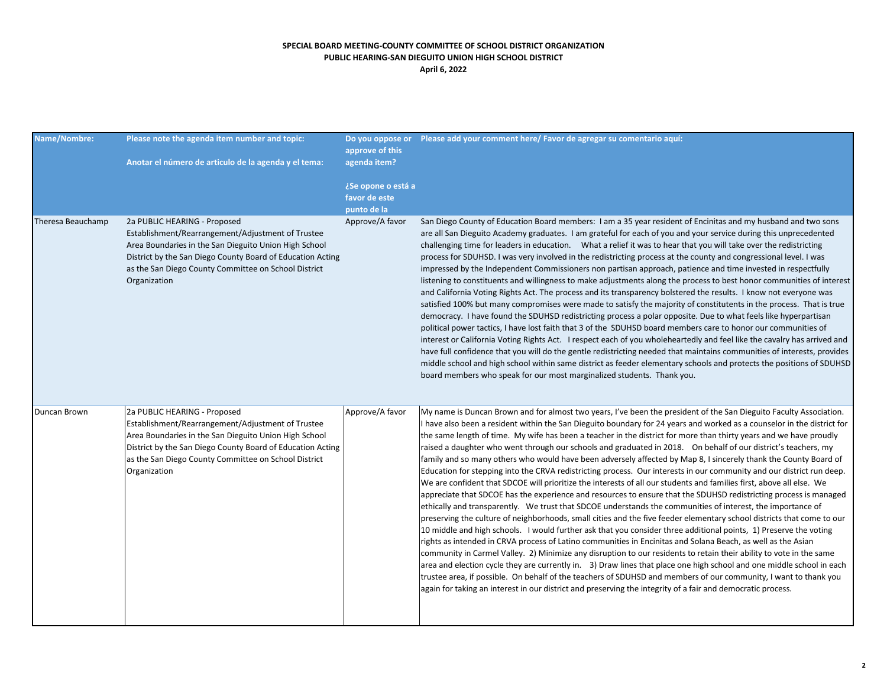| Name/Nombre:      | Please note the agenda item number and topic:<br>Anotar el número de articulo de la agenda y el tema:                                                                                                                                                                            | approve of this<br>agenda item?                    | Do you oppose or Please add your comment here/ Favor de agregar su comentario aquí:                                                                                                                                                                                                                                                                                                                                                                                                                                                                                                                                                                                                                                                                                                                                                                                                                                                                                                                                                                                                                                                                                                                                                                                                                                                                                                                                                                                                                                                                                                                                                                                                                                                                                                                                                                                                                                                              |
|-------------------|----------------------------------------------------------------------------------------------------------------------------------------------------------------------------------------------------------------------------------------------------------------------------------|----------------------------------------------------|--------------------------------------------------------------------------------------------------------------------------------------------------------------------------------------------------------------------------------------------------------------------------------------------------------------------------------------------------------------------------------------------------------------------------------------------------------------------------------------------------------------------------------------------------------------------------------------------------------------------------------------------------------------------------------------------------------------------------------------------------------------------------------------------------------------------------------------------------------------------------------------------------------------------------------------------------------------------------------------------------------------------------------------------------------------------------------------------------------------------------------------------------------------------------------------------------------------------------------------------------------------------------------------------------------------------------------------------------------------------------------------------------------------------------------------------------------------------------------------------------------------------------------------------------------------------------------------------------------------------------------------------------------------------------------------------------------------------------------------------------------------------------------------------------------------------------------------------------------------------------------------------------------------------------------------------------|
|                   |                                                                                                                                                                                                                                                                                  | ¿Se opone o está a<br>favor de este<br>punto de la |                                                                                                                                                                                                                                                                                                                                                                                                                                                                                                                                                                                                                                                                                                                                                                                                                                                                                                                                                                                                                                                                                                                                                                                                                                                                                                                                                                                                                                                                                                                                                                                                                                                                                                                                                                                                                                                                                                                                                  |
| Theresa Beauchamp | 2a PUBLIC HEARING - Proposed<br>Establishment/Rearrangement/Adjustment of Trustee<br>Area Boundaries in the San Dieguito Union High School<br>District by the San Diego County Board of Education Acting<br>as the San Diego County Committee on School District<br>Organization | Approve/A favor                                    | San Diego County of Education Board members: I am a 35 year resident of Encinitas and my husband and two sons<br>are all San Dieguito Academy graduates. I am grateful for each of you and your service during this unprecedented<br>challenging time for leaders in education. What a relief it was to hear that you will take over the redistricting<br>process for SDUHSD. I was very involved in the redistricting process at the county and congressional level. I was<br>impressed by the Independent Commissioners non partisan approach, patience and time invested in respectfully<br>listening to constituents and willingness to make adjustments along the process to best honor communities of interest<br>and California Voting Rights Act. The process and its transparency bolstered the results. I know not everyone was<br>satisfied 100% but many compromises were made to satisfy the majority of constitutents in the process. That is true<br>democracy. I have found the SDUHSD redistricting process a polar opposite. Due to what feels like hyperpartisan<br>political power tactics, I have lost faith that 3 of the SDUHSD board members care to honor our communities of<br>interest or California Voting Rights Act. I respect each of you wholeheartedly and feel like the cavalry has arrived and<br>have full confidence that you will do the gentle redistricting needed that maintains communities of interests, provides<br>middle school and high school within same district as feeder elementary schools and protects the positions of SDUHSD<br>board members who speak for our most marginalized students. Thank you.                                                                                                                                                                                                                                                                                   |
| Duncan Brown      | 2a PUBLIC HEARING - Proposed<br>Establishment/Rearrangement/Adjustment of Trustee<br>Area Boundaries in the San Dieguito Union High School<br>District by the San Diego County Board of Education Acting<br>as the San Diego County Committee on School District<br>Organization | Approve/A favor                                    | My name is Duncan Brown and for almost two years, I've been the president of the San Dieguito Faculty Association.<br>I have also been a resident within the San Dieguito boundary for 24 years and worked as a counselor in the district for<br>the same length of time. My wife has been a teacher in the district for more than thirty years and we have proudly<br>raised a daughter who went through our schools and graduated in 2018. On behalf of our district's teachers, my<br>family and so many others who would have been adversely affected by Map 8, I sincerely thank the County Board of<br>Education for stepping into the CRVA redistricting process. Our interests in our community and our district run deep.<br>We are confident that SDCOE will prioritize the interests of all our students and families first, above all else. We<br>appreciate that SDCOE has the experience and resources to ensure that the SDUHSD redistricting process is managed<br>ethically and transparently. We trust that SDCOE understands the communities of interest, the importance of<br>preserving the culture of neighborhoods, small cities and the five feeder elementary school districts that come to our<br>10 middle and high schools. I would further ask that you consider three additional points, 1) Preserve the voting<br>rights as intended in CRVA process of Latino communities in Encinitas and Solana Beach, as well as the Asian<br>community in Carmel Valley. 2) Minimize any disruption to our residents to retain their ability to vote in the same<br>area and election cycle they are currently in. 3) Draw lines that place one high school and one middle school in each<br>trustee area, if possible. On behalf of the teachers of SDUHSD and members of our community, I want to thank you<br>again for taking an interest in our district and preserving the integrity of a fair and democratic process. |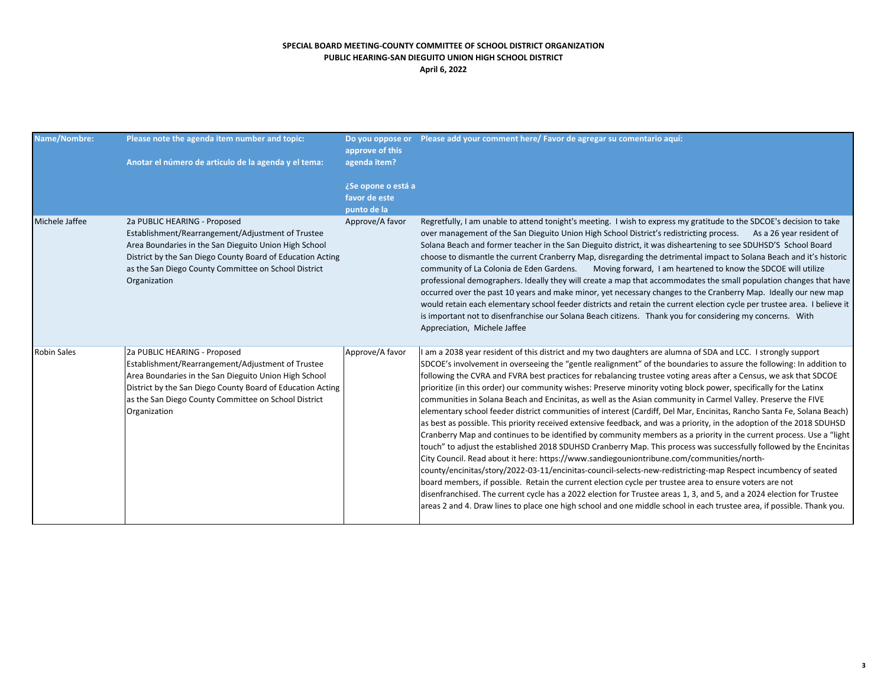| <b>Name/Nombre:</b> | Please note the agenda item number and topic:<br>Anotar el número de articulo de la agenda y el tema:                                                                                                                                                                            | approve of this<br>agenda item?<br>¿Se opone o está a<br>favor de este<br>punto de la | Do you oppose or Please add your comment here/ Favor de agregar su comentario aquí:                                                                                                                                                                                                                                                                                                                                                                                                                                                                                                                                                                                                                                                                                                                                                                                                                                                                                                                                                                                                                                                                                                                                                                                                                                                                                                                                                                                                                                                                                                                                                                                                |
|---------------------|----------------------------------------------------------------------------------------------------------------------------------------------------------------------------------------------------------------------------------------------------------------------------------|---------------------------------------------------------------------------------------|------------------------------------------------------------------------------------------------------------------------------------------------------------------------------------------------------------------------------------------------------------------------------------------------------------------------------------------------------------------------------------------------------------------------------------------------------------------------------------------------------------------------------------------------------------------------------------------------------------------------------------------------------------------------------------------------------------------------------------------------------------------------------------------------------------------------------------------------------------------------------------------------------------------------------------------------------------------------------------------------------------------------------------------------------------------------------------------------------------------------------------------------------------------------------------------------------------------------------------------------------------------------------------------------------------------------------------------------------------------------------------------------------------------------------------------------------------------------------------------------------------------------------------------------------------------------------------------------------------------------------------------------------------------------------------|
| Michele Jaffee      | 2a PUBLIC HEARING - Proposed<br>Establishment/Rearrangement/Adjustment of Trustee<br>Area Boundaries in the San Dieguito Union High School<br>District by the San Diego County Board of Education Acting<br>as the San Diego County Committee on School District<br>Organization | Approve/A favor                                                                       | Regretfully, I am unable to attend tonight's meeting. I wish to express my gratitude to the SDCOE's decision to take<br>over management of the San Dieguito Union High School District's redistricting process. As a 26 year resident of<br>Solana Beach and former teacher in the San Dieguito district, it was disheartening to see SDUHSD'S School Board<br>choose to dismantle the current Cranberry Map, disregarding the detrimental impact to Solana Beach and it's historic<br>community of La Colonia de Eden Gardens.<br>Moving forward, I am heartened to know the SDCOE will utilize<br>professional demographers. Ideally they will create a map that accommodates the small population changes that have<br>occurred over the past 10 years and make minor, yet necessary changes to the Cranberry Map. Ideally our new map<br>would retain each elementary school feeder districts and retain the current election cycle per trustee area. I believe it<br>is important not to disenfranchise our Solana Beach citizens. Thank you for considering my concerns. With<br>Appreciation, Michele Jaffee                                                                                                                                                                                                                                                                                                                                                                                                                                                                                                                                                                |
| <b>Robin Sales</b>  | 2a PUBLIC HEARING - Proposed<br>Establishment/Rearrangement/Adjustment of Trustee<br>Area Boundaries in the San Dieguito Union High School<br>District by the San Diego County Board of Education Acting<br>as the San Diego County Committee on School District<br>Organization | Approve/A favor                                                                       | I am a 2038 year resident of this district and my two daughters are alumna of SDA and LCC. I strongly support<br>SDCOE's involvement in overseeing the "gentle realignment" of the boundaries to assure the following: In addition to<br>following the CVRA and FVRA best practices for rebalancing trustee voting areas after a Census, we ask that SDCOE<br>prioritize (in this order) our community wishes: Preserve minority voting block power, specifically for the Latinx<br>communities in Solana Beach and Encinitas, as well as the Asian community in Carmel Valley. Preserve the FIVE<br>ellementary school feeder district communities of interest (Cardiff, Del Mar, Encinitas, Rancho Santa Fe, Solana Beach)<br>as best as possible. This priority received extensive feedback, and was a priority, in the adoption of the 2018 SDUHSD<br>Cranberry Map and continues to be identified by community members as a priority in the current process. Use a "light<br>touch" to adjust the established 2018 SDUHSD Cranberry Map. This process was successfully followed by the Encinitas<br>City Council. Read about it here: https://www.sandiegouniontribune.com/communities/north-<br>county/encinitas/story/2022-03-11/encinitas-council-selects-new-redistricting-map Respect incumbency of seated<br>board members, if possible. Retain the current election cycle per trustee area to ensure voters are not<br>disenfranchised. The current cycle has a 2022 election for Trustee areas 1, 3, and 5, and a 2024 election for Trustee<br>areas 2 and 4. Draw lines to place one high school and one middle school in each trustee area, if possible. Thank you. |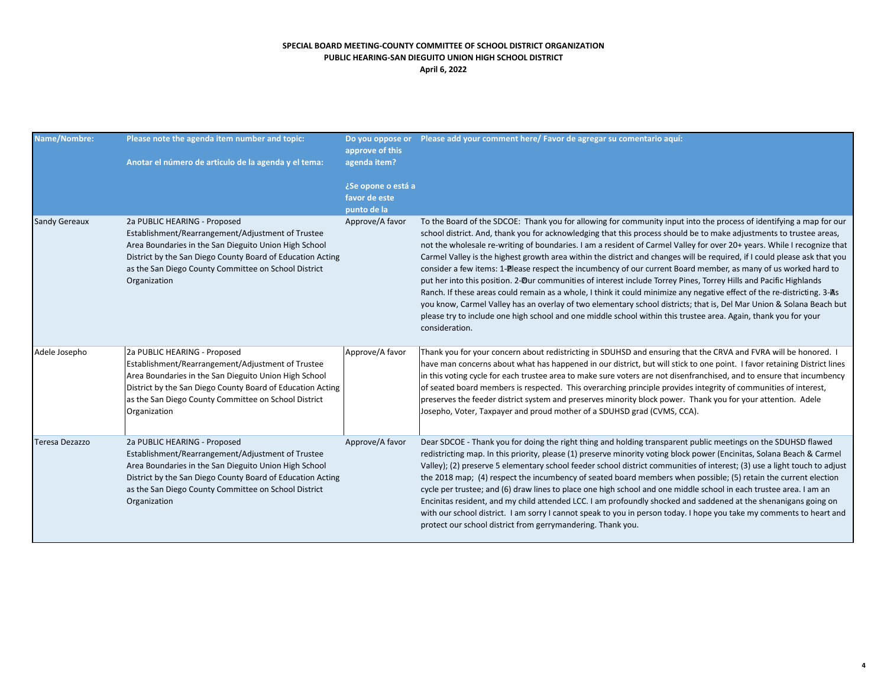| <b>Name/Nombre:</b>  | Please note the agenda item number and topic:<br>Anotar el número de articulo de la agenda y el tema:                                                                                                                                                                            | approve of this<br>agenda item?<br>¿Se opone o está a<br>favor de este<br>punto de la | Do you oppose or Please add your comment here/ Favor de agregar su comentario aquí:                                                                                                                                                                                                                                                                                                                                                                                                                                                                                                                                                                                                                                                                                                                                                                                                                                                                                                                                                                                                                                                  |
|----------------------|----------------------------------------------------------------------------------------------------------------------------------------------------------------------------------------------------------------------------------------------------------------------------------|---------------------------------------------------------------------------------------|--------------------------------------------------------------------------------------------------------------------------------------------------------------------------------------------------------------------------------------------------------------------------------------------------------------------------------------------------------------------------------------------------------------------------------------------------------------------------------------------------------------------------------------------------------------------------------------------------------------------------------------------------------------------------------------------------------------------------------------------------------------------------------------------------------------------------------------------------------------------------------------------------------------------------------------------------------------------------------------------------------------------------------------------------------------------------------------------------------------------------------------|
| <b>Sandy Gereaux</b> | 2a PUBLIC HEARING - Proposed<br>Establishment/Rearrangement/Adjustment of Trustee<br>Area Boundaries in the San Dieguito Union High School<br>District by the San Diego County Board of Education Acting<br>as the San Diego County Committee on School District<br>Organization | Approve/A favor                                                                       | To the Board of the SDCOE: Thank you for allowing for community input into the process of identifying a map for our<br>school district. And, thank you for acknowledging that this process should be to make adjustments to trustee areas,<br>not the wholesale re-writing of boundaries. I am a resident of Carmel Valley for over 20+ years. While I recognize that<br>Carmel Valley is the highest growth area within the district and changes will be required, if I could please ask that you<br>consider a few items: 1-Please respect the incumbency of our current Board member, as many of us worked hard to<br>put her into this position. 2-Dur communities of interest include Torrey Pines, Torrey Hills and Pacific Highlands<br>Ranch. If these areas could remain as a whole, I think it could minimize any negative effect of the re-districting. 3-As<br>you know, Carmel Valley has an overlay of two elementary school districts; that is, Del Mar Union & Solana Beach but<br>please try to include one high school and one middle school within this trustee area. Again, thank you for your<br>consideration. |
| Adele Josepho        | 2a PUBLIC HEARING - Proposed<br>Establishment/Rearrangement/Adjustment of Trustee<br>Area Boundaries in the San Dieguito Union High School<br>District by the San Diego County Board of Education Acting<br>as the San Diego County Committee on School District<br>Organization | Approve/A favor                                                                       | Thank you for your concern about redistricting in SDUHSD and ensuring that the CRVA and FVRA will be honored. I<br>have man concerns about what has happened in our district, but will stick to one point. I favor retaining District lines<br>in this voting cycle for each trustee area to make sure voters are not disenfranchised, and to ensure that incumbency<br>of seated board members is respected. This overarching principle provides integrity of communities of interest,<br>preserves the feeder district system and preserves minority block power. Thank you for your attention. Adele<br>Josepho, Voter, Taxpayer and proud mother of a SDUHSD grad (CVMS, CCA).                                                                                                                                                                                                                                                                                                                                                                                                                                                   |
| Teresa Dezazzo       | 2a PUBLIC HEARING - Proposed<br>Establishment/Rearrangement/Adjustment of Trustee<br>Area Boundaries in the San Dieguito Union High School<br>District by the San Diego County Board of Education Acting<br>as the San Diego County Committee on School District<br>Organization | Approve/A favor                                                                       | Dear SDCOE - Thank you for doing the right thing and holding transparent public meetings on the SDUHSD flawed<br>redistricting map. In this priority, please (1) preserve minority voting block power (Encinitas, Solana Beach & Carmel<br>Valley); (2) preserve 5 elementary school feeder school district communities of interest; (3) use a light touch to adjust<br>the 2018 map; (4) respect the incumbency of seated board members when possible; (5) retain the current election<br>cycle per trustee; and (6) draw lines to place one high school and one middle school in each trustee area. I am an<br>Encinitas resident, and my child attended LCC. I am profoundly shocked and saddened at the shenanigans going on<br>with our school district. I am sorry I cannot speak to you in person today. I hope you take my comments to heart and<br>protect our school district from gerrymandering. Thank you.                                                                                                                                                                                                              |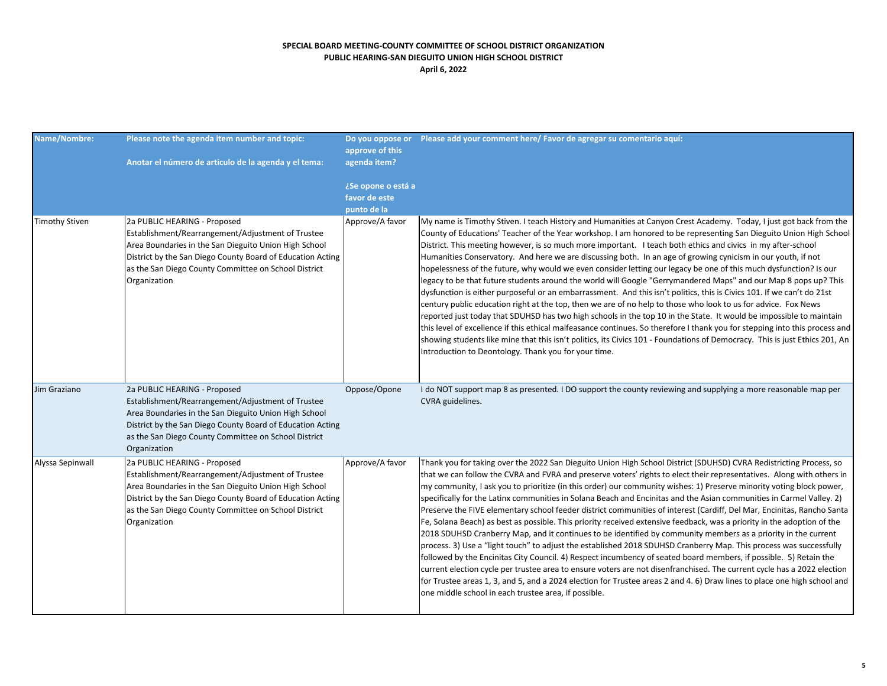| <b>Name/Nombre:</b>   | Please note the agenda item number and topic:<br>Anotar el número de articulo de la agenda y el tema:                                                                                                                                                                            | Do you oppose or<br>approve of this<br>agenda item? | Please add your comment here/ Favor de agregar su comentario aquí:                                                                                                                                                                                                                                                                                                                                                                                                                                                                                                                                                                                                                                                                                                                                                                                                                                                                                                                                                                                                                                                                                                                                                                                                                                                                                                                                                           |
|-----------------------|----------------------------------------------------------------------------------------------------------------------------------------------------------------------------------------------------------------------------------------------------------------------------------|-----------------------------------------------------|------------------------------------------------------------------------------------------------------------------------------------------------------------------------------------------------------------------------------------------------------------------------------------------------------------------------------------------------------------------------------------------------------------------------------------------------------------------------------------------------------------------------------------------------------------------------------------------------------------------------------------------------------------------------------------------------------------------------------------------------------------------------------------------------------------------------------------------------------------------------------------------------------------------------------------------------------------------------------------------------------------------------------------------------------------------------------------------------------------------------------------------------------------------------------------------------------------------------------------------------------------------------------------------------------------------------------------------------------------------------------------------------------------------------------|
|                       |                                                                                                                                                                                                                                                                                  | ¿Se opone o está a<br>favor de este<br>punto de la  |                                                                                                                                                                                                                                                                                                                                                                                                                                                                                                                                                                                                                                                                                                                                                                                                                                                                                                                                                                                                                                                                                                                                                                                                                                                                                                                                                                                                                              |
| <b>Timothy Stiven</b> | 2a PUBLIC HEARING - Proposed<br>Establishment/Rearrangement/Adjustment of Trustee<br>Area Boundaries in the San Dieguito Union High School<br>District by the San Diego County Board of Education Acting<br>as the San Diego County Committee on School District<br>Organization | Approve/A favor                                     | My name is Timothy Stiven. I teach History and Humanities at Canyon Crest Academy. Today, I just got back from the<br>County of Educations' Teacher of the Year workshop. I am honored to be representing San Dieguito Union High School<br>District. This meeting however, is so much more important. I teach both ethics and civics in my after-school<br>Humanities Conservatory. And here we are discussing both. In an age of growing cynicism in our youth, if not<br>hopelessness of the future, why would we even consider letting our legacy be one of this much dysfunction? Is our<br>legacy to be that future students around the world will Google "Gerrymandered Maps" and our Map 8 pops up? This<br>dysfunction is either purposeful or an embarrassment. And this isn't politics, this is Civics 101. If we can't do 21st<br>century public education right at the top, then we are of no help to those who look to us for advice. Fox News<br>reported just today that SDUHSD has two high schools in the top 10 in the State. It would be impossible to maintain<br>this level of excellence if this ethical malfeasance continues. So therefore I thank you for stepping into this process and<br>showing students like mine that this isn't politics, its Civics 101 - Foundations of Democracy. This is just Ethics 201, An<br>Introduction to Deontology. Thank you for your time.                    |
| Jim Graziano          | 2a PUBLIC HEARING - Proposed<br>Establishment/Rearrangement/Adjustment of Trustee<br>Area Boundaries in the San Dieguito Union High School<br>District by the San Diego County Board of Education Acting<br>as the San Diego County Committee on School District<br>Organization | Oppose/Opone                                        | I do NOT support map 8 as presented. I DO support the county reviewing and supplying a more reasonable map per<br>CVRA guidelines.                                                                                                                                                                                                                                                                                                                                                                                                                                                                                                                                                                                                                                                                                                                                                                                                                                                                                                                                                                                                                                                                                                                                                                                                                                                                                           |
| Alyssa Sepinwall      | 2a PUBLIC HEARING - Proposed<br>Establishment/Rearrangement/Adjustment of Trustee<br>Area Boundaries in the San Dieguito Union High School<br>District by the San Diego County Board of Education Acting<br>as the San Diego County Committee on School District<br>Organization | Approve/A favor                                     | Thank you for taking over the 2022 San Dieguito Union High School District (SDUHSD) CVRA Redistricting Process, so<br>that we can follow the CVRA and FVRA and preserve voters' rights to elect their representatives. Along with others in<br>my community, I ask you to prioritize (in this order) our community wishes: 1) Preserve minority voting block power,<br>specifically for the Latinx communities in Solana Beach and Encinitas and the Asian communities in Carmel Valley. 2)<br>Preserve the FIVE elementary school feeder district communities of interest (Cardiff, Del Mar, Encinitas, Rancho Santa<br>Fe, Solana Beach) as best as possible. This priority received extensive feedback, was a priority in the adoption of the<br>2018 SDUHSD Cranberry Map, and it continues to be identified by community members as a priority in the current<br>process. 3) Use a "light touch" to adjust the established 2018 SDUHSD Cranberry Map. This process was successfully<br>followed by the Encinitas City Council. 4) Respect incumbency of seated board members, if possible. 5) Retain the<br>current election cycle per trustee area to ensure voters are not disenfranchised. The current cycle has a 2022 election<br>for Trustee areas 1, 3, and 5, and a 2024 election for Trustee areas 2 and 4. 6) Draw lines to place one high school and<br>one middle school in each trustee area, if possible. |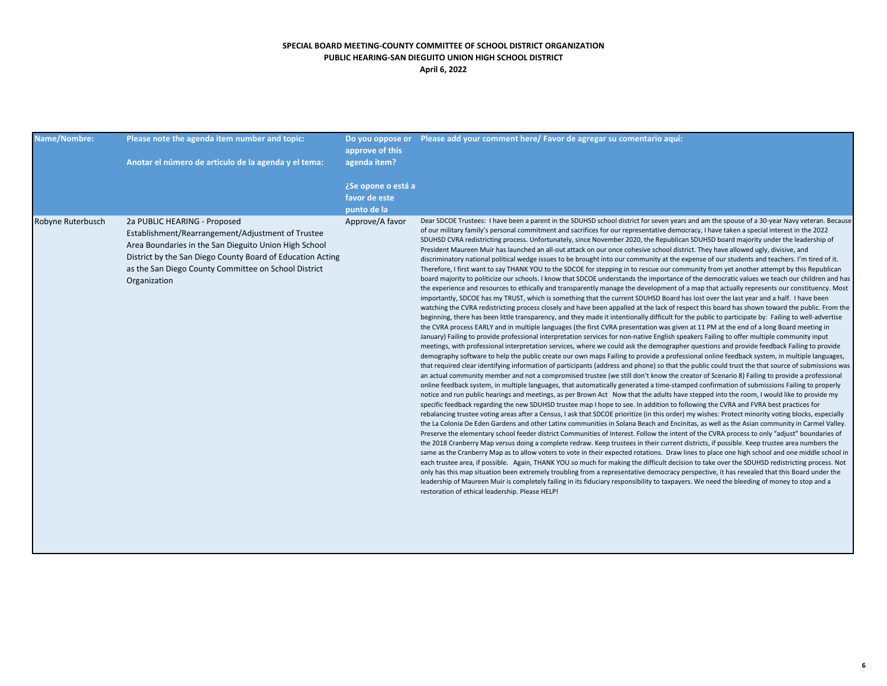| <b>Name/Nombre:</b> | Please note the agenda item number and topic:<br>Anotar el número de articulo de la agenda y el tema:                                                                                                                                                                            | approve of this<br>agenda item?                    | Do you oppose or Please add your comment here/ Favor de agregar su comentario aquí:                                                                                                                                                                                                                                                                                                                                                                                                                                                                                                                                                                                                                                                                                                                                                                                                                                                                                                                                                                                                                                                                                                                                                                                                                                                                                                                                                                                                                                                                                                                                                                                                                                                                                                                                                                                                                                                                                                                                                                                                                                                                                                                                                                                                                                                                                                                                                                                                                                                                                                                                                                                                                                                                                                                                                                                                                                                                                                                                                                                                                                                                                                                                                                                                                                                                                                                                                                                                                                                                                                                                                                                                                                                                                                                                                                                                                                                                                                                                                                                                                                                                                                                  |
|---------------------|----------------------------------------------------------------------------------------------------------------------------------------------------------------------------------------------------------------------------------------------------------------------------------|----------------------------------------------------|------------------------------------------------------------------------------------------------------------------------------------------------------------------------------------------------------------------------------------------------------------------------------------------------------------------------------------------------------------------------------------------------------------------------------------------------------------------------------------------------------------------------------------------------------------------------------------------------------------------------------------------------------------------------------------------------------------------------------------------------------------------------------------------------------------------------------------------------------------------------------------------------------------------------------------------------------------------------------------------------------------------------------------------------------------------------------------------------------------------------------------------------------------------------------------------------------------------------------------------------------------------------------------------------------------------------------------------------------------------------------------------------------------------------------------------------------------------------------------------------------------------------------------------------------------------------------------------------------------------------------------------------------------------------------------------------------------------------------------------------------------------------------------------------------------------------------------------------------------------------------------------------------------------------------------------------------------------------------------------------------------------------------------------------------------------------------------------------------------------------------------------------------------------------------------------------------------------------------------------------------------------------------------------------------------------------------------------------------------------------------------------------------------------------------------------------------------------------------------------------------------------------------------------------------------------------------------------------------------------------------------------------------------------------------------------------------------------------------------------------------------------------------------------------------------------------------------------------------------------------------------------------------------------------------------------------------------------------------------------------------------------------------------------------------------------------------------------------------------------------------------------------------------------------------------------------------------------------------------------------------------------------------------------------------------------------------------------------------------------------------------------------------------------------------------------------------------------------------------------------------------------------------------------------------------------------------------------------------------------------------------------------------------------------------------------------------------------------------------------------------------------------------------------------------------------------------------------------------------------------------------------------------------------------------------------------------------------------------------------------------------------------------------------------------------------------------------------------------------------------------------------------------------------------------------------------------|
|                     |                                                                                                                                                                                                                                                                                  | ¿Se opone o está a<br>favor de este<br>punto de la |                                                                                                                                                                                                                                                                                                                                                                                                                                                                                                                                                                                                                                                                                                                                                                                                                                                                                                                                                                                                                                                                                                                                                                                                                                                                                                                                                                                                                                                                                                                                                                                                                                                                                                                                                                                                                                                                                                                                                                                                                                                                                                                                                                                                                                                                                                                                                                                                                                                                                                                                                                                                                                                                                                                                                                                                                                                                                                                                                                                                                                                                                                                                                                                                                                                                                                                                                                                                                                                                                                                                                                                                                                                                                                                                                                                                                                                                                                                                                                                                                                                                                                                                                                                                      |
| Robyne Ruterbusch   | 2a PUBLIC HEARING - Proposed<br>Establishment/Rearrangement/Adjustment of Trustee<br>Area Boundaries in the San Dieguito Union High School<br>District by the San Diego County Board of Education Acting<br>as the San Diego County Committee on School District<br>Organization | Approve/A favor                                    | Dear SDCOE Trustees: I have been a parent in the SDUHSD school district for seven years and am the spouse of a 30-year Navy veteran. Because<br>of our military family's personal commitment and sacrifices for our representative democracy, I have taken a special interest in the 2022<br>SDUHSD CVRA redistricting process. Unfortunately, since November 2020, the Republican SDUHSD board majority under the leadership of<br>President Maureen Muir has launched an all-out attack on our once cohesive school district. They have allowed ugly, divisive, and<br>discriminatory national political wedge issues to be brought into our community at the expense of our students and teachers. I'm tired of it.<br>Therefore, I first want to say THANK YOU to the SDCOE for stepping in to rescue our community from yet another attempt by this Republican<br>board majority to politicize our schools. I know that SDCOE understands the importance of the democratic values we teach our children and has<br>the experience and resources to ethically and transparently manage the development of a map that actually represents our constituency. Most<br>importantly, SDCOE has my TRUST, which is something that the current SDUHSD Board has lost over the last year and a half. I have been<br>watching the CVRA redistricting process closely and have been appalled at the lack of respect this board has shown toward the public. From the<br>beginning, there has been little transparency, and they made it intentionally difficult for the public to participate by: Failing to well-advertise<br>the CVRA process EARLY and in multiple languages (the first CVRA presentation was given at 11 PM at the end of a long Board meeting in<br>January) Failing to provide professional interpretation services for non-native English speakers Failing to offer multiple community input<br>meetings, with professional interpretation services, where we could ask the demographer questions and provide feedback Failing to provide<br>demography software to help the public create our own maps Failing to provide a professional online feedback system, in multiple languages,<br>that required clear identifying information of participants (address and phone) so that the public could trust the that source of submissions was<br>an actual community member and not a compromised trustee (we still don't know the creator of Scenario 8) Failing to provide a professional<br>online feedback system, in multiple languages, that automatically generated a time-stamped confirmation of submissions Failing to properly<br>notice and run public hearings and meetings, as per Brown Act Now that the adults have stepped into the room, I would like to provide my<br>specific feedback regarding the new SDUHSD trustee map I hope to see. In addition to following the CVRA and FVRA best practices for<br>rebalancing trustee voting areas after a Census, I ask that SDCOE prioritize (in this order) my wishes: Protect minority voting blocks, especially<br>the La Colonia De Eden Gardens and other Latinx communities in Solana Beach and Encinitas, as well as the Asian community in Carmel Valley.<br>Preserve the elementary school feeder district Communities of Interest. Follow the intent of the CVRA process to only "adjust" boundaries of<br>the 2018 Cranberry Map versus doing a complete redraw. Keep trustees in their current districts, if possible. Keep trustee area numbers the<br>same as the Cranberry Map as to allow voters to vote in their expected rotations. Draw lines to place one high school and one middle school in<br>each trustee area, if possible. Again, THANK YOU so much for making the difficult decision to take over the SDUHSD redistricting process. Not<br>only has this map situation been extremely troubling from a representative democracy perspective, it has revealed that this Board under the<br>leadership of Maureen Muir is completely failing in its fiduciary responsibility to taxpayers. We need the bleeding of money to stop and a<br>restoration of ethical leadership. Please HELP! |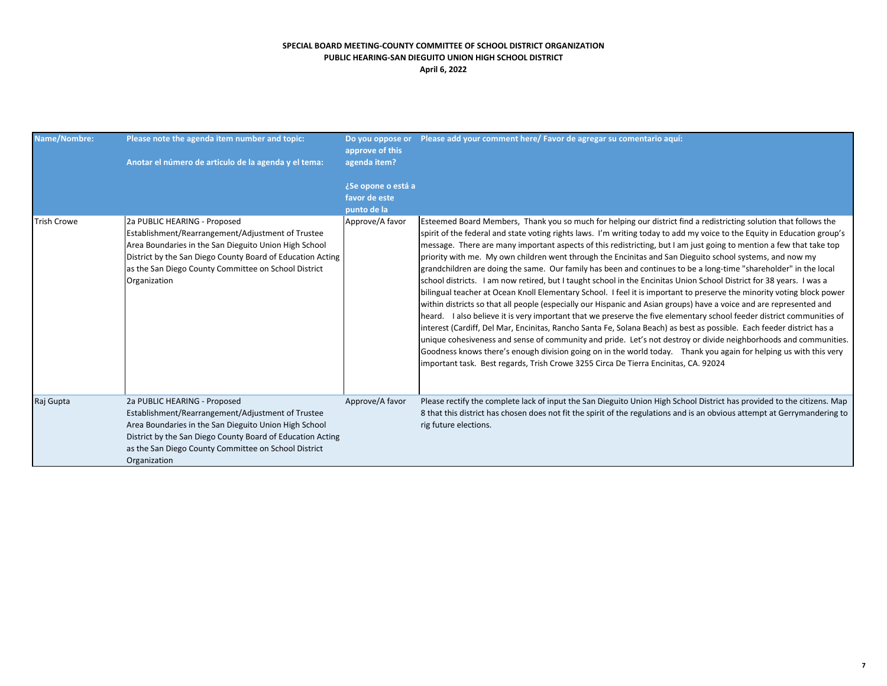| <b>Name/Nombre:</b> | Please note the agenda item number and topic:<br>Anotar el número de articulo de la agenda y el tema:                                                                                                                                                                            | Do you oppose or<br>approve of this<br>agenda item?<br>¿Se opone o está a<br>favor de este<br>punto de la | Please add your comment here/ Favor de agregar su comentario aquí:                                                                                                                                                                                                                                                                                                                                                                                                                                                                                                                                                                                                                                                                                                                                                                                                                                                                                                                                                                                                                                                                                                                                                                                                                                                                                                                                                                                                                                                                                              |
|---------------------|----------------------------------------------------------------------------------------------------------------------------------------------------------------------------------------------------------------------------------------------------------------------------------|-----------------------------------------------------------------------------------------------------------|-----------------------------------------------------------------------------------------------------------------------------------------------------------------------------------------------------------------------------------------------------------------------------------------------------------------------------------------------------------------------------------------------------------------------------------------------------------------------------------------------------------------------------------------------------------------------------------------------------------------------------------------------------------------------------------------------------------------------------------------------------------------------------------------------------------------------------------------------------------------------------------------------------------------------------------------------------------------------------------------------------------------------------------------------------------------------------------------------------------------------------------------------------------------------------------------------------------------------------------------------------------------------------------------------------------------------------------------------------------------------------------------------------------------------------------------------------------------------------------------------------------------------------------------------------------------|
| <b>Trish Crowe</b>  | 2a PUBLIC HEARING - Proposed<br>Establishment/Rearrangement/Adjustment of Trustee<br>Area Boundaries in the San Dieguito Union High School<br>District by the San Diego County Board of Education Acting<br>as the San Diego County Committee on School District<br>Organization | Approve/A favor                                                                                           | Esteemed Board Members, Thank you so much for helping our district find a redistricting solution that follows the<br>spirit of the federal and state voting rights laws. I'm writing today to add my voice to the Equity in Education group's<br>message. There are many important aspects of this redistricting, but I am just going to mention a few that take top<br>priority with me. My own children went through the Encinitas and San Dieguito school systems, and now my<br>grandchildren are doing the same. Our family has been and continues to be a long-time "shareholder" in the local<br>school districts. I am now retired, but I taught school in the Encinitas Union School District for 38 years. I was a<br>bilingual teacher at Ocean Knoll Elementary School. I feel it is important to preserve the minority voting block power<br>within districts so that all people (especially our Hispanic and Asian groups) have a voice and are represented and<br>heard. I also believe it is very important that we preserve the five elementary school feeder district communities of<br>interest (Cardiff, Del Mar, Encinitas, Rancho Santa Fe, Solana Beach) as best as possible. Each feeder district has a<br>unique cohesiveness and sense of community and pride. Let's not destroy or divide neighborhoods and communities.<br>Goodness knows there's enough division going on in the world today. Thank you again for helping us with this very<br>important task. Best regards, Trish Crowe 3255 Circa De Tierra Encinitas, CA. 92024 |
| Raj Gupta           | 2a PUBLIC HEARING - Proposed<br>Establishment/Rearrangement/Adjustment of Trustee<br>Area Boundaries in the San Dieguito Union High School<br>District by the San Diego County Board of Education Acting<br>as the San Diego County Committee on School District<br>Organization | Approve/A favor                                                                                           | Please rectify the complete lack of input the San Dieguito Union High School District has provided to the citizens. Map<br>8 that this district has chosen does not fit the spirit of the regulations and is an obvious attempt at Gerrymandering to<br>rig future elections.                                                                                                                                                                                                                                                                                                                                                                                                                                                                                                                                                                                                                                                                                                                                                                                                                                                                                                                                                                                                                                                                                                                                                                                                                                                                                   |